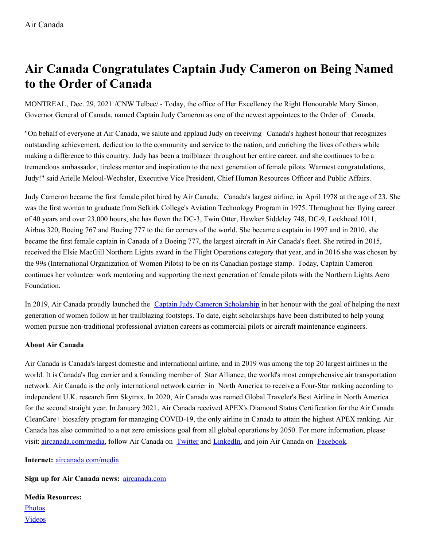## **Air Canada Congratulates Captain Judy Cameron on Being Named to the Order of Canada**

MONTREAL, Dec. 29, 2021 /CNW Telbec/ - Today, the office of Her Excellency the Right Honourable Mary Simon, Governor General of Canada, named Captain Judy Cameron as one of the newest appointees to the Order of Canada.

"On behalf of everyone at Air Canada, we salute and applaud Judy on receiving Canada's highest honour that recognizes outstanding achievement, dedication to the community and service to the nation, and enriching the lives of others while making a difference to this country. Judy has been a trailblazer throughout her entire career, and she continues to be a tremendous ambassador, tireless mentor and inspiration to the next generation of female pilots. Warmest congratulations, Judy!" said Arielle Meloul-Wechsler, Executive Vice President, Chief Human Resources Officer and Public Affairs.

Judy Cameron became the first female pilot hired by Air Canada, Canada's largest airline, in April 1978 at the age of 23. She was the first woman to graduate from Selkirk College's Aviation Technology Program in 1975. Throughout her flying career of 40 years and over 23,000 hours, she has flown the DC-3, Twin Otter, Hawker Siddeley 748, DC-9, Lockheed 1011, Airbus 320, Boeing 767 and Boeing 777 to the far corners of the world. She became a captain in 1997 and in 2010, she became the first female captain in Canada of a Boeing 777, the largest aircraft in Air Canada's fleet. She retired in 2015, received the Elsie MacGill Northern Lights award in the Flight Operations category that year, and in 2016 she was chosen by the 99s (International Organization of Women Pilots) to be on its Canadian postage stamp. Today, Captain Cameron continues her volunteer work mentoring and supporting the next generation of female pilots with the Northern Lights Aero Foundation.

In 2019, Air Canada proudly launched the Captain Judy Cameron [Scholarship](https://c212.net/c/link/?t=0&l=en&o=3400145-1&h=443817233&u=https%3A%2F%2Fcareers.aircanada.com%2Fposts%2Fthe-captain-judy-cameron-scholarship&a=Captain+Judy+Cameron+Scholarship) in her honour with the goal of helping the next generation of women follow in her trailblazing footsteps. To date, eight scholarships have been distributed to help young women pursue non-traditional professional aviation careers as commercial pilots or aircraft maintenance engineers.

## **About Air Canada**

Air Canada is Canada's largest domestic and international airline, and in 2019 was among the top 20 largest airlines in the world. It is Canada's flag carrier and a founding member of Star Alliance, the world's most comprehensive air transportation network. Air Canada is the only international network carrier in North America to receive a Four-Star ranking according to independent U.K. research firm Skytrax. In 2020, Air Canada was named Global Traveler's Best Airline in North America for the second straight year. In January 2021, Air Canada received APEX's Diamond Status Certification for the Air Canada CleanCare+ biosafety program for managing COVID-19, the only airline in Canada to attain the highest APEX ranking. Air Canada has also committed to a net zero emissions goal from all global operations by 2050. For more information, please visit: [aircanada.com/media](https://c212.net/c/link/?t=0&l=en&o=3400145-1&h=2976147440&u=https%3A%2F%2Fwww.aircanada.com%2Fmedia&a=aircanada.com%2Fmedia), follow Air Canada on [Twitter](https://c212.net/c/link/?t=0&l=en&o=3400145-1&h=417028362&u=https%3A%2F%2Ftwitter.com%2Faircanada&a=Twitter) and [LinkedIn](https://c212.net/c/link/?t=0&l=en&o=3400145-1&h=1467454954&u=https%3A%2F%2Fwww.linkedin.com%2Fcompany%2Fair-canada%2F&a=LinkedIn), and join Air Canada on [Facebook.](https://c212.net/c/link/?t=0&l=en&o=3400145-1&h=2509268035&u=http%3A%2F%2Fwww.facebook.com%2Faircanada&a=Facebook)

**Internet:** [aircanada.com/media](https://c212.net/c/link/?t=0&l=en&o=3400145-1&h=3016598245&u=https%3A%2F%2Fwww.aircanada.com%2Fca%2Fen%2Faco%2Fhome%2Fabout%2Fmedia.html&a=aircanada.com%2Fmedia)

**Sign up for Air Canada news:** [aircanada.com](https://c212.net/c/link/?t=0&l=en&o=3400145-1&h=2371016213&u=https%3A%2F%2Fwww.aircanada.com%2Fca%2Fen%2Faco%2Fhome%2Fabout%2Fmedia%2Fmedia-subscribe.html&a=aircanada.com)

**Media Resources:** [Photos](https://c212.net/c/link/?t=0&l=en&o=3400145-1&h=3731879643&u=https%3A%2F%2Fwww.aircanada.com%2Fca%2Fen%2Faco%2Fhome%2Fabout%2Fmedia%2Fphotos-logos.html&a=Photos) [Videos](https://c212.net/c/link/?t=0&l=en&o=3400145-1&h=308036201&u=https%3A%2F%2Fvimeo.com%2Faircanadamedia&a=Videos)